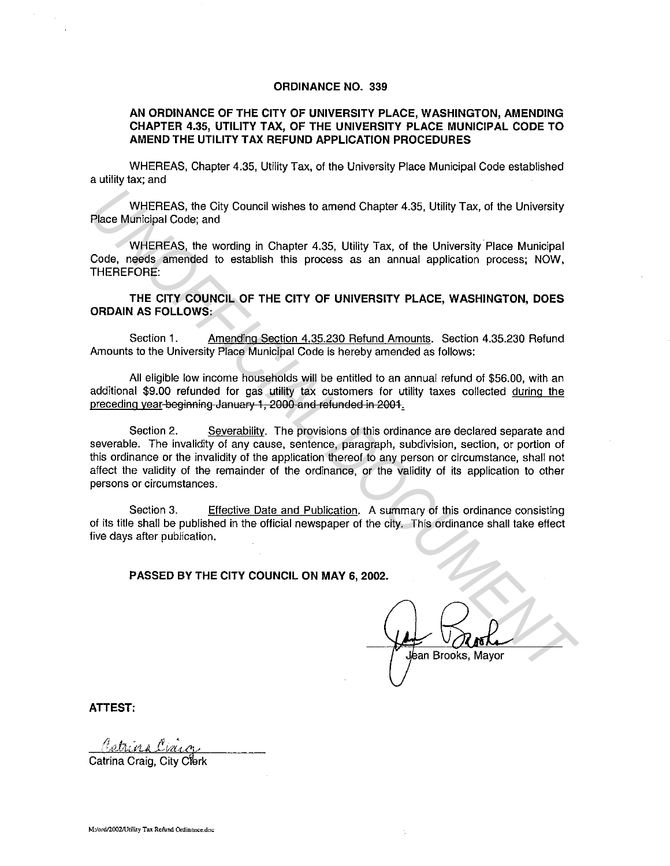## **ORDINANCE NO. 339**

## **AN ORDINANCE OF THE CITY OF UNIVERSITY PLACE, WASHINGTON, AMENDING CHAPTER 4.35, UTILITY TAX, OF THE UNIVERSITY PLACE MUNICIPAL CODE TO AMEND THE UTILITY TAX REFUND APPLICATION PROCEDURES**

WHEREAS, Chapter 4.35, Utility Tax, of the University Place Municipal Code established a utility tax; and

WHEREAS, the City Council wishes to amend Chapter 4.35, Utility Tax, of the University Place Municipal Code; and

WHEREAS, the wording in Chapter 4.35, Utility Tax, of the University Place Municipal Code, needs amended to establish this process as an annual application process; NOW, THEREFORE:

**THE CITY COUNCIL OF THE CITY OF UNIVERSITY PLACE, WASHINGTON, DOES ORDAIN AS FOLLOWS:** 

Section 1. Amending Section 4.35.230 Refund Amounts. Section 4.35.230 Refund Amounts to the University Place Municipal Code is hereby amended as follows:

All eligible low income households will be entitled to an annual refund of \$56.00, with an additional \$9.00 refunded for gas utility tax customers for utility taxes collected during the preceding year-beginning January 1, 2000 and refunded in 2001.

Section 2. Severability. The provisions of this ordinance are declared separate and severable. The invalidity of any cause, sentence, paragraph, subdivision, section, or portion of this ordinance or the invalidity of the application thereof to any person or circumstance, shall not affect the validity of the remainder of the ordinance, or the validity of its application to other persons or circumstances. WHEREAS, the City Council wistes to amend Chapter 4.35, Utility Tax, of the University<br>
Welco Municipal Code; and<br>
WHEREAS, the wording in Chapter 4.35, Utility Tax, of the University Place Municipal<br>
Code, needs amended t

Section 3. Effective Date and Publication. A summary of this ordinance consisting of its title shall be published in the official newspaper of the city. This ordinance shall take effect five days after publication.

## **PASSED BY THE CITY COUNCIL ON MAY 6, 2002.**

**ATTEST:** 

Catrina Craig. City Clerk